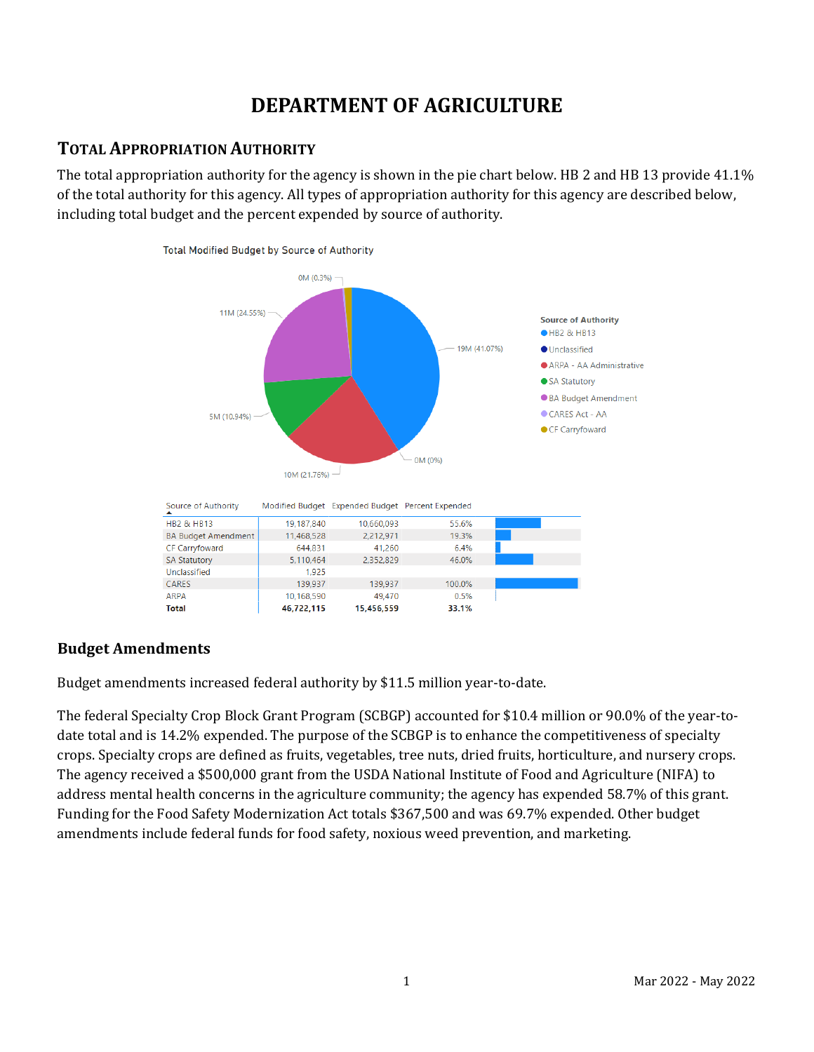# **DEPARTMENT OF AGRICULTURE**

# **TOTAL APPROPRIATION AUTHORITY**

The total appropriation authority for the agency is shown in the pie chart below. HB 2 and HB 13 provide 41.1% of the total authority for this agency. All types of appropriation authority for this agency are described below, including total budget and the percent expended by source of authority.



# **Budget Amendments**

Budget amendments increased federal authority by \$11.5 million year-to-date.

The federal Specialty Crop Block Grant Program (SCBGP) accounted for \$10.4 million or 90.0% of the year-todate total and is 14.2% expended. The purpose of the SCBGP is to enhance the competitiveness of specialty crops. Specialty crops are defined as fruits, vegetables, tree nuts, dried fruits, horticulture, and nursery crops. The agency received a \$500,000 grant from the USDA National Institute of Food and Agriculture (NIFA) to address mental health concerns in the agriculture community; the agency has expended 58.7% of this grant. Funding for the Food Safety Modernization Act totals \$367,500 and was 69.7% expended. Other budget amendments include federal funds for food safety, noxious weed prevention, and marketing.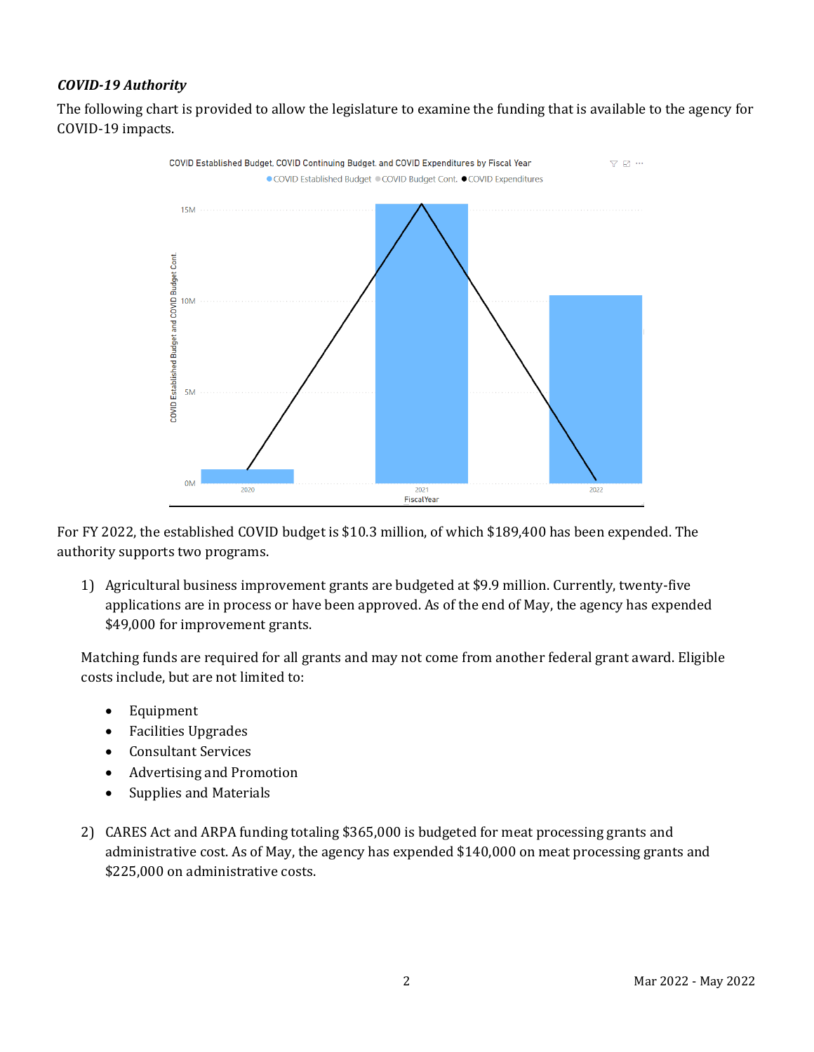### *COVID-19 Authority*

The following chart is provided to allow the legislature to examine the funding that is available to the agency for COVID-19 impacts.



For FY 2022, the established COVID budget is \$10.3 million, of which \$189,400 has been expended. The authority supports two programs.

1) Agricultural business improvement grants are budgeted at \$9.9 million. Currently, twenty-five applications are in process or have been approved. As of the end of May, the agency has expended \$49,000 for improvement grants.

Matching funds are required for all grants and may not come from another federal grant award. Eligible costs include, but are not limited to:

- Equipment
- Facilities Upgrades
- Consultant Services
- Advertising and Promotion
- Supplies and Materials
- 2) CARES Act and ARPA funding totaling \$365,000 is budgeted for meat processing grants and administrative cost. As of May, the agency has expended \$140,000 on meat processing grants and \$225,000 on administrative costs.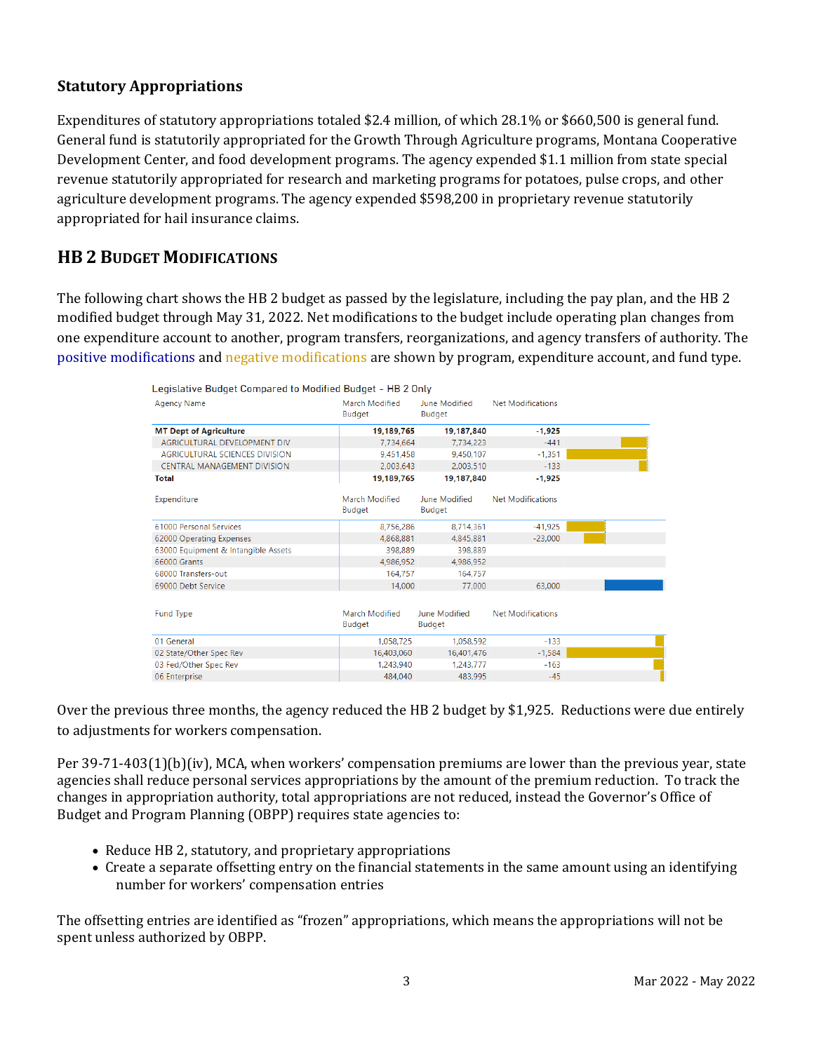### **Statutory Appropriations**

Expenditures of statutory appropriations totaled \$2.4 million, of which 28.1% or \$660,500 is general fund. General fund is statutorily appropriated for the Growth Through Agriculture programs, Montana Cooperative Development Center, and food development programs. The agency expended \$1.1 million from state special revenue statutorily appropriated for research and marketing programs for potatoes, pulse crops, and other agriculture development programs. The agency expended \$598,200 in proprietary revenue statutorily appropriated for hail insurance claims.

# **HB 2 BUDGET MODIFICATIONS**

The following chart shows the HB 2 budget as passed by the legislature, including the pay plan, and the HB 2 modified budget through May 31, 2022. Net modifications to the budget include operating plan changes from one expenditure account to another, program transfers, reorganizations, and agency transfers of authority. The positive modifications and negative modifications are shown by program, expenditure account, and fund type.

| Legislative Budget Compared to Modified Budget - HB 2 Only |                                 |                                |                          |  |  |  |  |
|------------------------------------------------------------|---------------------------------|--------------------------------|--------------------------|--|--|--|--|
| <b>Agency Name</b>                                         | March Modified<br><b>Budget</b> | June Modified<br><b>Budget</b> | <b>Net Modifications</b> |  |  |  |  |
| <b>MT Dept of Agriculture</b>                              | 19,189,765                      | 19,187,840                     | $-1.925$                 |  |  |  |  |
| AGRICULTURAL DEVELOPMENT DIV                               | 7,734,664                       | 7,734,223                      | $-441$                   |  |  |  |  |
| <b>AGRICULTURAL SCIENCES DIVISION</b>                      | 9.451.458                       | 9.450.107                      | $-1.351$                 |  |  |  |  |
| <b>CENTRAL MANAGEMENT DIVISION</b>                         | 2,003,643                       | 2,003,510                      | $-133$                   |  |  |  |  |
| <b>Total</b>                                               | 19.189.765                      | 19,187,840                     | $-1.925$                 |  |  |  |  |
| Expenditure                                                | <b>March Modified</b><br>Budget | June Modified<br>Budget        | <b>Net Modifications</b> |  |  |  |  |
| 61000 Personal Services                                    | 8,756,286                       | 8,714,361                      | $-41,925$                |  |  |  |  |
| 62000 Operating Expenses                                   | 4.868.881                       | 4.845.881                      | $-23.000$                |  |  |  |  |
| 63000 Equipment & Intangible Assets                        | 398,889                         | 398,889                        |                          |  |  |  |  |
| 66000 Grants                                               | 4.986.952                       | 4.986.952                      |                          |  |  |  |  |
| 68000 Transfers-out                                        | 164,757                         | 164,757                        |                          |  |  |  |  |
| 69000 Debt Service                                         | 14.000                          | 77,000                         | 63.000                   |  |  |  |  |
| <b>Fund Type</b>                                           | March Modified<br><b>Budget</b> | June Modified<br><b>Budget</b> | <b>Net Modifications</b> |  |  |  |  |
| 01 General                                                 | 1,058,725                       | 1,058,592                      | $-133$                   |  |  |  |  |
| 02 State/Other Spec Rev                                    | 16,403,060                      | 16,401,476                     | $-1,584$                 |  |  |  |  |
| 03 Fed/Other Spec Rev                                      | 1,243,940                       | 1,243,777                      | $-163$                   |  |  |  |  |
| 06 Enterprise                                              | 484.040                         | 483.995                        | $-45$                    |  |  |  |  |

Over the previous three months, the agency reduced the HB 2 budget by \$1,925. Reductions were due entirely to adjustments for workers compensation.

Per 39-71-403(1)(b)(iv), MCA, when workers' compensation premiums are lower than the previous year, state agencies shall reduce personal services appropriations by the amount of the premium reduction. To track the changes in appropriation authority, total appropriations are not reduced, instead the Governor's Office of Budget and Program Planning (OBPP) requires state agencies to:

- Reduce HB 2, statutory, and proprietary appropriations
- Create a separate offsetting entry on the financial statements in the same amount using an identifying number for workers' compensation entries

The offsetting entries are identified as "frozen" appropriations, which means the appropriations will not be spent unless authorized by OBPP.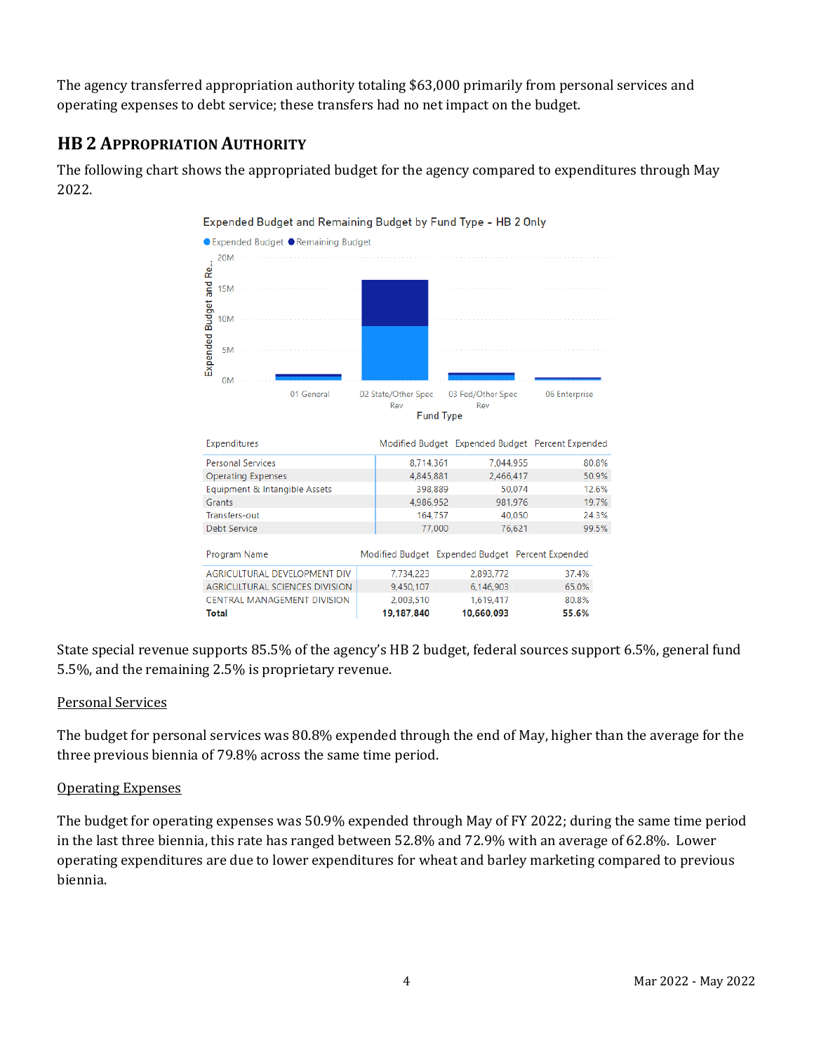The agency transferred appropriation authority totaling \$63,000 primarily from personal services and operating expenses to debt service; these transfers had no net impact on the budget.

# **HB 2 APPROPRIATION AUTHORITY**

The following chart shows the appropriated budget for the agency compared to expenditures through May 2022.



State special revenue supports 85.5% of the agency's HB 2 budget, federal sources support 6.5%, general fund 5.5%, and the remaining 2.5% is proprietary revenue.

#### Personal Services

The budget for personal services was 80.8% expended through the end of May, higher than the average for the three previous biennia of 79.8% across the same time period.

#### Operating Expenses

The budget for operating expenses was 50.9% expended through May of FY 2022; during the same time period in the last three biennia, this rate has ranged between 52.8% and 72.9% with an average of 62.8%. Lower operating expenditures are due to lower expenditures for wheat and barley marketing compared to previous biennia.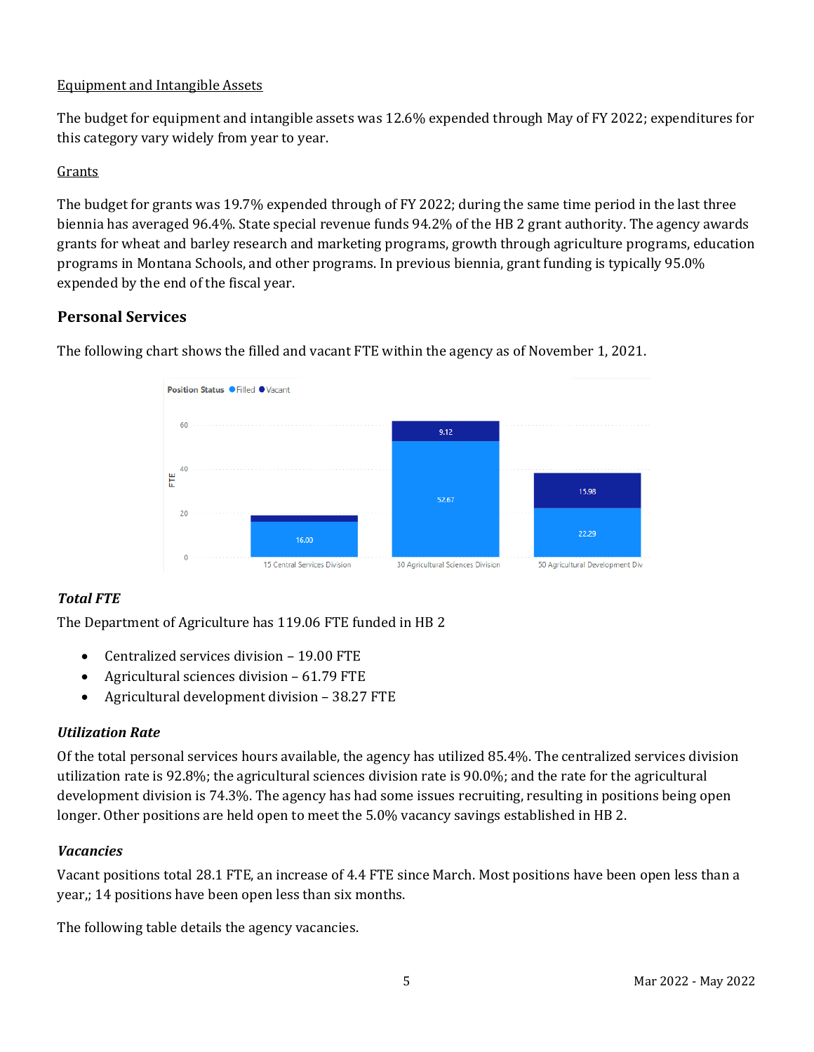### Equipment and Intangible Assets

The budget for equipment and intangible assets was 12.6% expended through May of FY 2022; expenditures for this category vary widely from year to year.

### Grants

The budget for grants was 19.7% expended through of FY 2022; during the same time period in the last three biennia has averaged 96.4%. State special revenue funds 94.2% of the HB 2 grant authority. The agency awards grants for wheat and barley research and marketing programs, growth through agriculture programs, education programs in Montana Schools, and other programs. In previous biennia, grant funding is typically 95.0% expended by the end of the fiscal year.

### **Personal Services**



The following chart shows the filled and vacant FTE within the agency as of November 1, 2021.

# *Total FTE*

The Department of Agriculture has 119.06 FTE funded in HB 2

- Centralized services division 19.00 FTE
- Agricultural sciences division 61.79 FTE
- Agricultural development division 38.27 FTE

### *Utilization Rate*

Of the total personal services hours available, the agency has utilized 85.4%. The centralized services division utilization rate is 92.8%; the agricultural sciences division rate is 90.0%; and the rate for the agricultural development division is 74.3%. The agency has had some issues recruiting, resulting in positions being open longer. Other positions are held open to meet the 5.0% vacancy savings established in HB 2.

#### *Vacancies*

Vacant positions total 28.1 FTE, an increase of 4.4 FTE since March. Most positions have been open less than a year,; 14 positions have been open less than six months.

The following table details the agency vacancies.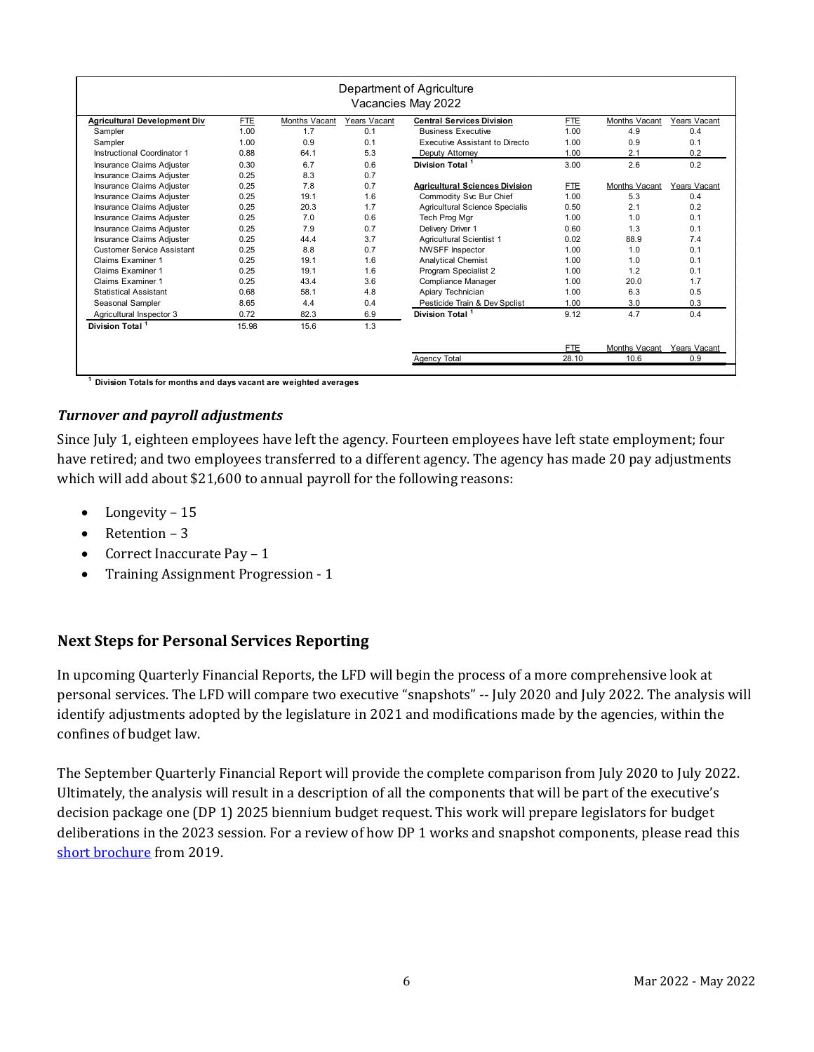| Department of Agriculture<br>Vacancies May 2022 |            |                      |              |                                       |            |                      |              |  |  |
|-------------------------------------------------|------------|----------------------|--------------|---------------------------------------|------------|----------------------|--------------|--|--|
| <b>Agricultural Development Div</b>             | <b>FTE</b> | <b>Months Vacant</b> | Years Vacant | <b>Central Services Division</b>      | <b>FTE</b> | Months Vacant        | Years Vacant |  |  |
| Sampler                                         | 1.00       | 1.7                  | 0.1          | <b>Business Executive</b>             | 1.00       | 4.9                  | 0.4          |  |  |
| Sampler                                         | 1.00       | 0.9                  | 0.1          | Executive Assistant to Directo        | 1.00       | 0.9                  | 0.1          |  |  |
| Instructional Coordinator 1                     | 0.88       | 64.1                 | 5.3          | Deputy Attorney                       | 1.00       | 2.1                  | 0.2          |  |  |
| Insurance Claims Adjuster                       | 0.30       | 6.7                  | 0.6          | Division Total <sup>1</sup>           | 3.00       | 2.6                  | 0.2          |  |  |
| Insurance Claims Adjuster                       | 0.25       | 8.3                  | 0.7          |                                       |            |                      |              |  |  |
| Insurance Claims Adjuster                       | 0.25       | 7.8                  | 0.7          | <b>Agricultural Sciences Division</b> | <b>FTE</b> | <b>Months Vacant</b> | Years Vacant |  |  |
| Insurance Claims Adjuster                       | 0.25       | 19.1                 | 1.6          | Commodity Svc Bur Chief               | 1.00       | 5.3                  | 0.4          |  |  |
| Insurance Claims Adjuster                       | 0.25       | 20.3                 | 1.7          | Agricultural Science Specialis        | 0.50       | 2.1                  | 0.2          |  |  |
| Insurance Claims Adjuster                       | 0.25       | 7.0                  | 0.6          | Tech Prog Mgr                         | 1.00       | 1.0                  | 0.1          |  |  |
| Insurance Claims Adjuster                       | 0.25       | 7.9                  | 0.7          | Delivery Driver 1                     | 0.60       | 1.3                  | 0.1          |  |  |
| Insurance Claims Adjuster                       | 0.25       | 44.4                 | 3.7          | <b>Agricultural Scientist 1</b>       | 0.02       | 88.9                 | 7.4          |  |  |
| Customer Service Assistant                      | 0.25       | 8.8                  | 0.7          | <b>NWSFF Inspector</b>                | 1.00       | 1.0                  | 0.1          |  |  |
| Claims Examiner 1                               | 0.25       | 19.1                 | 1.6          | <b>Analytical Chemist</b>             | 1.00       | 1.0                  | 0.1          |  |  |
| Claims Examiner 1                               | 0.25       | 19.1                 | 1.6          | Program Specialist 2                  | 1.00       | 1.2                  | 0.1          |  |  |
| <b>Claims Examiner 1</b>                        | 0.25       | 43.4                 | 3.6          | Compliance Manager                    | 1.00       | 20.0                 | 1.7          |  |  |
| <b>Statistical Assistant</b>                    | 0.68       | 58.1                 | 4.8          | Apiary Technician                     | 1.00       | 6.3                  | 0.5          |  |  |
| Seasonal Sampler                                | 8.65       | 4.4                  | 0.4          | Pesticide Train & Dev Spclist         | 1.00       | 3.0                  | 0.3          |  |  |
| Agricultural Inspector 3                        | 0.72       | 82.3                 | 6.9          | Division Total <sup>1</sup>           | 9.12       | 4.7                  | 0.4          |  |  |
| Division Total <sup>1</sup>                     | 15.98      | 15.6                 | 1.3          |                                       |            |                      |              |  |  |
|                                                 |            |                      |              |                                       | <b>FTE</b> | Months Vacant        | Years Vacant |  |  |
|                                                 |            |                      |              | Agency Total                          | 28.10      | 10.6                 | 0.9          |  |  |

**1 Division Totals for months and days vacant are weighted averages** 

#### *Turnover and payroll adjustments*

Since July 1, eighteen employees have left the agency. Fourteen employees have left state employment; four have retired; and two employees transferred to a different agency. The agency has made 20 pay adjustments which will add about \$21,600 to annual payroll for the following reasons:

- Longevity 15
- Retention 3
- Correct Inaccurate Pay 1
- Training Assignment Progression 1

### **Next Steps for Personal Services Reporting**

In upcoming Quarterly Financial Reports, the LFD will begin the process of a more comprehensive look at personal services. The LFD will compare two executive "snapshots" -- July 2020 and July 2022. The analysis will identify adjustments adopted by the legislature in 2021 and modifications made by the agencies, within the confines of budget law.

The September Quarterly Financial Report will provide the complete comparison from July 2020 to July 2022. Ultimately, the analysis will result in a description of all the components that will be part of the executive's decision package one (DP 1) 2025 biennium budget request. This work will prepare legislators for budget deliberations in the 2023 session. For a review of how DP 1 works and snapshot components, please read this [short brochure](https://montana.maps.arcgis.com/apps/Cascade/index.html?appid=23095fcf15754f4fb38b63c58a884b97) from 2019.